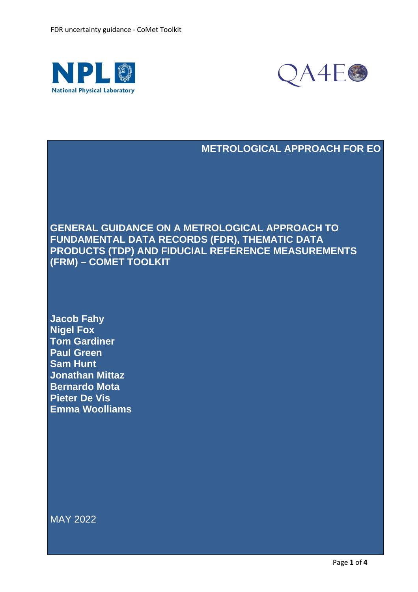



### **METROLOGICAL APPROACH FOR EO**

**GENERAL GUIDANCE ON A METROLOGICAL APPROACH TO FUNDAMENTAL DATA RECORDS (FDR), THEMATIC DATA PRODUCTS (TDP) AND FIDUCIAL REFERENCE MEASUREMENTS (FRM) – COMET TOOLKIT**

**Jacob Fahy Nigel Fox Tom Gardiner Paul Green Sam Hunt Jonathan Mittaz Bernardo Mota Pieter De Vis Emma Woolliams**

MAY 2022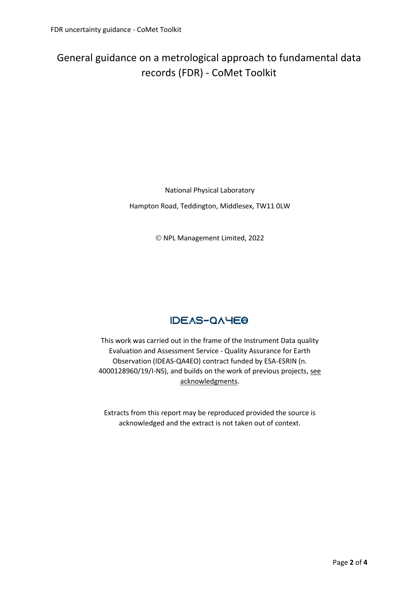# General guidance on a metrological approach to fundamental data records (FDR) - CoMet Toolkit

National Physical Laboratory Hampton Road, Teddington, Middlesex, TW11 0LW

© NPL Management Limited, 2022

## **IDEAS-QAYEO**

This work was carried out in the frame of the Instrument Data quality Evaluation and Assessment Service - Quality Assurance for Earth Observation (IDEAS-QA4EO) contract funded by ESA-ESRIN (n. 4000128960/19/I-NS), and builds on the work of previous projects, [see](https://qa4eo.org/about/acknowledgements.html) [acknowledgments.](https://qa4eo.org/about/acknowledgements.html)

Extracts from this report may be reproduced provided the source is acknowledged and the extract is not taken out of context.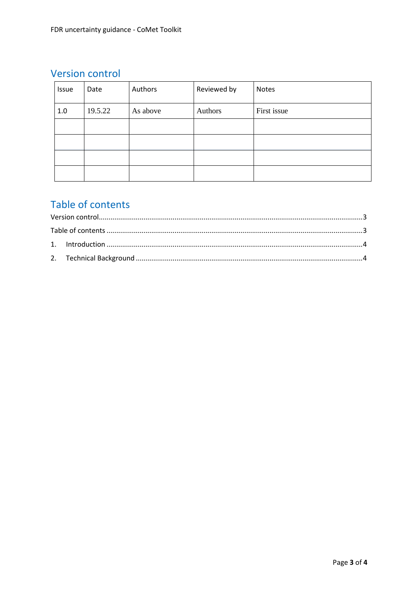## **Version control**

| Issue | Date    | Authors  | Reviewed by | <b>Notes</b> |
|-------|---------|----------|-------------|--------------|
| 1.0   | 19.5.22 | As above | Authors     | First issue  |
|       |         |          |             |              |
|       |         |          |             |              |
|       |         |          |             |              |
|       |         |          |             |              |

# Table of contents